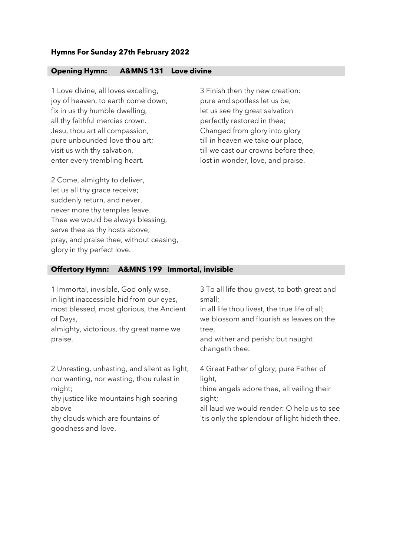## **Hymns For Sunday 27th February 2022**

## **Opening Hymn: A&MNS 131 Love divine**

1 Love divine, all loves excelling, joy of heaven, to earth come down, fix in us thy humble dwelling, all thy faithful mercies crown. Jesu, thou art all compassion, pure unbounded love thou art; visit us with thy salvation, enter every trembling heart.

3 Finish then thy new creation: pure and spotless let us be; let us see thy great salvation perfectly restored in thee; Changed from glory into glory till in heaven we take our place, till we cast our crowns before thee, lost in wonder, love, and praise.

2 Come, almighty to deliver, let us all thy grace receive; suddenly return, and never, never more thy temples leave. Thee we would be always blessing, serve thee as thy hosts above; pray, and praise thee, without ceasing, glory in thy perfect love.

## **Offertory Hymn: A&MNS 199 Immortal, invisible**

| 1 Immortal, invisible, God only wise,<br>in light inaccessible hid from our eyes,<br>most blessed, most glorious, the Ancient<br>of Days,<br>almighty, victorious, thy great name we<br>praise.                   | 3 To all life thou givest, to both great and<br>small;<br>in all life thou livest, the true life of all;<br>we blossom and flourish as leaves on the<br>tree,<br>and wither and perish; but naught<br>changeth thee. |
|-------------------------------------------------------------------------------------------------------------------------------------------------------------------------------------------------------------------|----------------------------------------------------------------------------------------------------------------------------------------------------------------------------------------------------------------------|
| 2 Unresting, unhasting, and silent as light,<br>nor wanting, nor wasting, thou rulest in<br>might;<br>thy justice like mountains high soaring<br>above<br>thy clouds which are fountains of<br>goodness and love. | 4 Great Father of glory, pure Father of<br>light,<br>thine angels adore thee, all veiling their<br>sight;<br>all laud we would render: O help us to see<br>'tis only the splendour of light hideth thee.             |